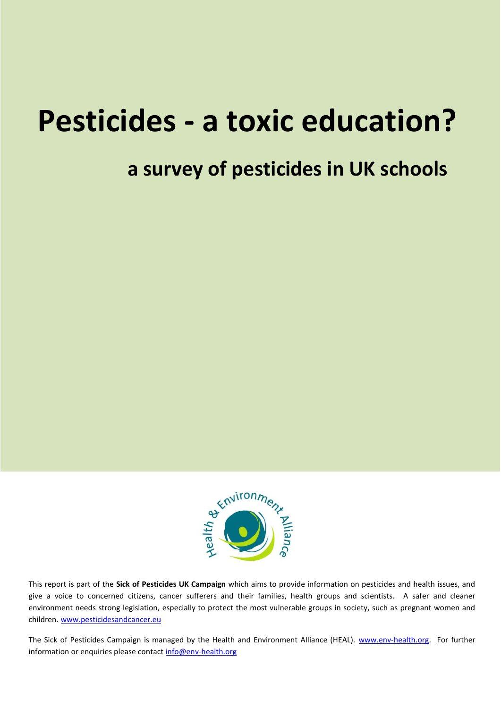# **Pesticides - a toxic education?**

## **a survey of pesticides in UK schools**



This report is part of the **Sick of Pesticides UK Campaign** which aims to provide information on pesticides and health issues, and give a voice to concerned citizens, cancer sufferers and their families, health groups and scientists. A safer and cleaner environment needs strong legislation, especially to protect the most vulnerable groups in society, such as pregnant women and children. [www.pesticidesandcancer.eu](http://www.pesticidesandcancer.eu/)

The Sick of Pesticides Campaign is managed by the Health and Environment Alliance (HEAL). [www.env-health.org.](http://www.env-health.org/) For further information or enquiries please contact [info@env-health.org](mailto:info@env-health.org)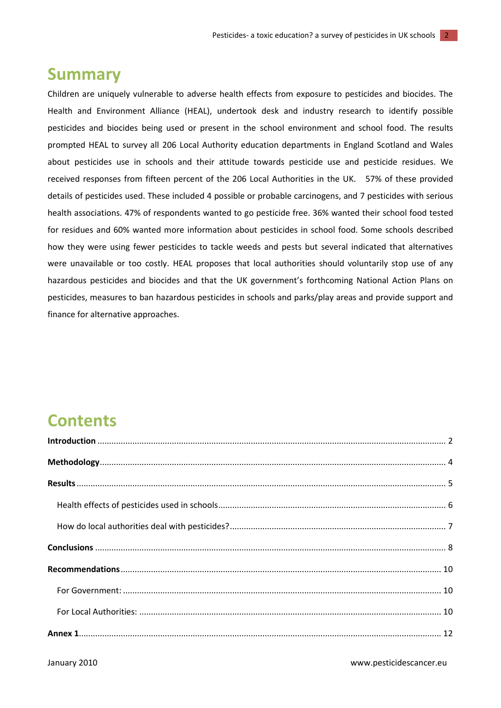### **Summary**

Children are uniquely vulnerable to adverse health effects from exposure to pesticides and biocides. The Health and Environment Alliance (HEAL), undertook desk and industry research to identify possible pesticides and biocides being used or present in the school environment and school food. The results prompted HEAL to survey all 206 Local Authority education departments in England Scotland and Wales about pesticides use in schools and their attitude towards pesticide use and pesticide residues. We received responses from fifteen percent of the 206 Local Authorities in the UK. 57% of these provided details of pesticides used. These included 4 possible or probable carcinogens, and 7 pesticides with serious health associations. 47% of respondents wanted to go pesticide free. 36% wanted their school food tested for residues and 60% wanted more information about pesticides in school food. Some schools described how they were using fewer pesticides to tackle weeds and pests but several indicated that alternatives were unavailable or too costly. HEAL proposes that local authorities should voluntarily stop use of any hazardous pesticides and biocides and that the UK government's forthcoming National Action Plans on pesticides, measures to ban hazardous pesticides in schools and parks/play areas and provide support and finance for alternative approaches.

### <span id="page-1-0"></span>**Contents**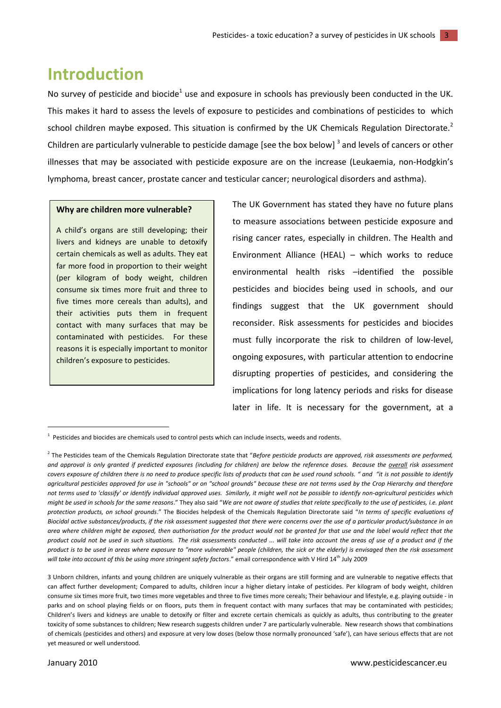### **Introduction**

No survey of pesticide and biocide<sup>1</sup> use and exposure in schools has previously been conducted in the UK. This makes it hard to assess the levels of exposure to pesticides and combinations of pesticides to which school children maybe exposed. This situation is confirmed by the UK Chemicals Regulation Directorate.<sup>2</sup> Children are particularly vulnerable to pesticide damage [see the box below]<sup>3</sup> and levels of cancers or other illnesses that may be associated with pesticide exposure are on the increase (Leukaemia, non-Hodgkin's lymphoma, breast cancer, prostate cancer and testicular cancer; neurological disorders and asthma).

#### **Why are children more vulnerable?**

A child's organs are still developing; their livers and kidneys are unable to detoxify certain chemicals as well as adults. They eat far more food in proportion to their weight (per kilogram of body weight, children consume six times more fruit and three to five times more cereals than adults), and their activities puts them in frequent contact with many surfaces that may be contaminated with pesticides. For these reasons it is especially important to monitor children's exposure to pesticides.

The UK Government has stated they have no future plans to measure associations between pesticide exposure and rising cancer rates, especially in children. The Health and Environment Alliance (HEAL) – which works to reduce environmental health risks –identified the possible pesticides and biocides being used in schools, and our findings suggest that the UK government should reconsider. Risk assessments for pesticides and biocides must fully incorporate the risk to children of low-level, ongoing exposures, with particular attention to endocrine disrupting properties of pesticides, and considering the implications for long latency periods and risks for disease later in life. It is necessary for the government, at a

1

 $1$  Pesticides and biocides are chemicals used to control pests which can include insects, weeds and rodents.

<sup>&</sup>lt;sup>2</sup> The Pesticides team of the Chemicals Regulation Directorate state that "Before pesticide products are approved, risk assessments are performed, *and approval is only granted if predicted exposures (including for children) are below the reference doses. Because the overall risk assessment covers exposure of children there is no need to produce specific lists of products that can be used round schools. " and "it is not possible to identify agricultural pesticides approved for use in "schools" or on "school grounds" because these are not terms used by the Crop Hierarchy and therefore not terms used to 'classify' or identify individual approved uses. Similarly, it might well not be possible to identify non-agricultural pesticides which might be used in schools for the same reasons*." They also said "*We are not aware of studies that relate specifically to the use of pesticides, i.e. plant protection products, on school grounds*." The Biocides helpdesk of the Chemicals Regulation Directorate said "*In terms of specific evaluations of Biocidal active substances/products, if the risk assessment suggested that there were concerns over the use of a particular product/substance in an area where children might be exposed, then authorisation for the product would not be granted for that use and the label would reflect that the product could not be used in such situations. The risk assessments conducted ... will take into account the areas of use of a product and if the product is to be used in areas where exposure to "more vulnerable" people (children, the sick or the elderly) is envisaged then the risk assessment*  will take into account of this be using more stringent safety factors." email correspondence with V Hird 14<sup>th</sup> July 2009

<sup>3</sup> Unborn children, infants and young children are uniquely vulnerable as their organs are still forming and are vulnerable to negative effects that can affect further development; Compared to adults, children incur a higher dietary intake of pesticides. Per kilogram of body weight, children consume six times more fruit, two times more vegetables and three to five times more cereals; Their behaviour and lifestyle, e.g. playing outside - in parks and on school playing fields or on floors, puts them in frequent contact with many surfaces that may be contaminated with pesticides; Children's livers and kidneys are unable to detoxify or filter and excrete certain chemicals as quickly as adults, thus contributing to the greater toxicity of some substances to children; New research suggests children under 7 are particularly vulnerable. New research shows that combinations of chemicals (pesticides and others) and exposure at very low doses (below those normally pronounced 'safe'), can have serious effects that are not yet measured or well understood.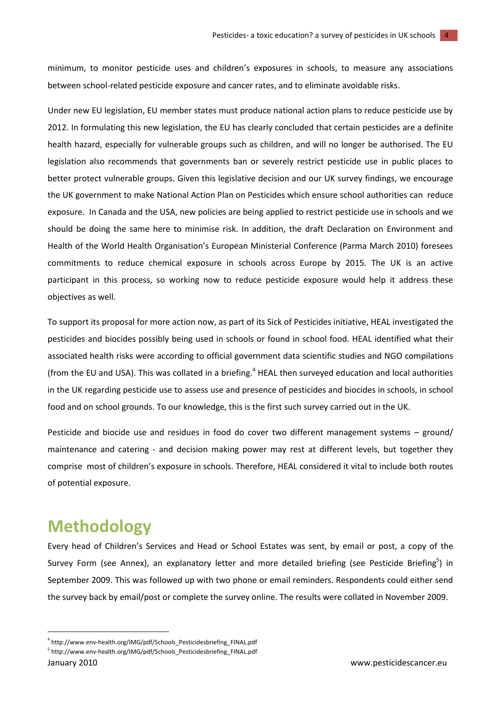minimum, to monitor pesticide uses and children's exposures in schools, to measure any associations between school-related pesticide exposure and cancer rates, and to eliminate avoidable risks.

Under new EU legislation, EU member states must produce national action plans to reduce pesticide use by 2012. In formulating this new legislation, the EU has clearly concluded that certain pesticides are a definite health hazard, especially for vulnerable groups such as children, and will no longer be authorised. The EU legislation also recommends that governments ban or severely restrict pesticide use in public places to better protect vulnerable groups. Given this legislative decision and our UK survey findings, we encourage the UK government to make National Action Plan on Pesticides which ensure school authorities can reduce exposure. In Canada and the USA, new policies are being applied to restrict pesticide use in schools and we should be doing the same here to minimise risk. In addition, the draft Declaration on Environment and Health of the World Health Organisation's European Ministerial Conference (Parma March 2010) foresees commitments to reduce chemical exposure in schools across Europe by 2015. The UK is an active participant in this process, so working now to reduce pesticide exposure would help it address these objectives as well.

To support its proposal for more action now, as part of its Sick of Pesticides initiative, HEAL investigated the pesticides and biocides possibly being used in schools or found in school food. HEAL identified what their associated health risks were according to official government data scientific studies and NGO compilations (from the EU and USA). This was collated in a briefing. <sup>4</sup> HEAL then surveyed education and local authorities in the UK regarding pesticide use to assess use and presence of pesticides and biocides in schools, in school food and on school grounds. To our knowledge, this is the first such survey carried out in the UK.

Pesticide and biocide use and residues in food do cover two different management systems – ground/ maintenance and catering - and decision making power may rest at different levels, but together they comprise most of children's exposure in schools. Therefore, HEAL considered it vital to include both routes of potential exposure.

### <span id="page-3-0"></span>**Methodology**

Every head of Children's Services and Head or School Estates was sent, by email or post, a copy of the Survey Form (see Annex), an explanatory letter and more detailed briefing (see Pesticide Briefing<sup>5</sup>) in September 2009. This was followed up with two phone or email reminders. Respondents could either send the survey back by email/post or complete the survey online. The results were collated in November 2009.

**.** 

<sup>4</sup> http://www.env-health.org/IMG/pdf/Schools\_Pesticidesbriefing\_FINAL.pdf

<sup>5</sup> http://www.env-health.org/IMG/pdf/Schools\_Pesticidesbriefing\_FINAL.pdf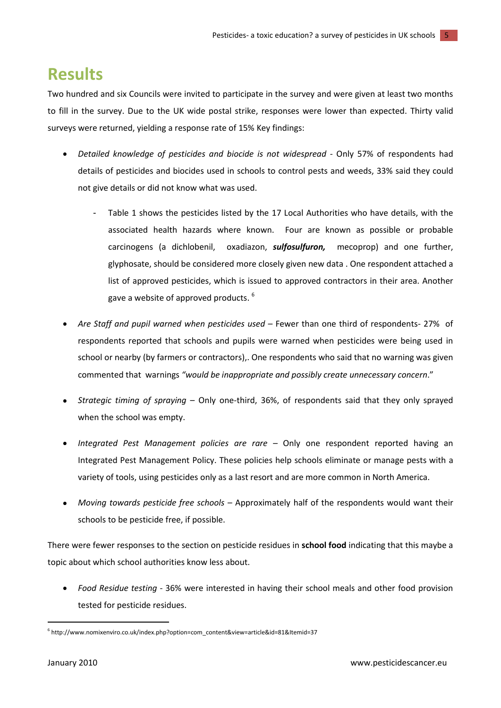### <span id="page-4-0"></span>**Results**

Two hundred and six Councils were invited to participate in the survey and were given at least two months to fill in the survey. Due to the UK wide postal strike, responses were lower than expected. Thirty valid surveys were returned, yielding a response rate of 15% Key findings:

- *Detailed knowledge of pesticides and biocide is not widespread* Only 57% of respondents had  $\bullet$ details of pesticides and biocides used in schools to control pests and weeds, 33% said they could not give details or did not know what was used.
	- Table 1 shows the pesticides listed by the 17 Local Authorities who have details, with the associated health hazards where known. Four are known as possible or probable carcinogens (a dichlobenil, oxadiazon, *sulfosulfuron,* mecoprop) and one further, glyphosate, should be considered more closely given new data . One respondent attached a list of approved pesticides, which is issued to approved contractors in their area. Another gave a website of approved products.  $^6$
- *Are Staff and pupil warned when pesticides used*  Fewer than one third of respondents- 27% of respondents reported that schools and pupils were warned when pesticides were being used in school or nearby (by farmers or contractors),. One respondents who said that no warning was given commented that warnings *"would be inappropriate and possibly create unnecessary concern*."
- *Strategic timing of spraying* Only one-third, 36%, of respondents said that they only sprayed when the school was empty.
- *Integrated Pest Management policies are rare –* Only one respondent reported having an Integrated Pest Management Policy. These policies help schools eliminate or manage pests with a variety of tools, using pesticides only as a last resort and are more common in North America.
- *Moving towards pesticide free schools* Approximately half of the respondents would want their schools to be pesticide free, if possible.

There were fewer responses to the section on pesticide residues in **school food** indicating that this maybe a topic about which school authorities know less about.

*Food Residue testing* - 36% were interested in having their school meals and other food provision tested for pesticide residues.

 $\overline{\phantom{a}}$ 

<sup>6</sup> http://www.nomixenviro.co.uk/index.php?option=com\_content&view=article&id=81&Itemid=37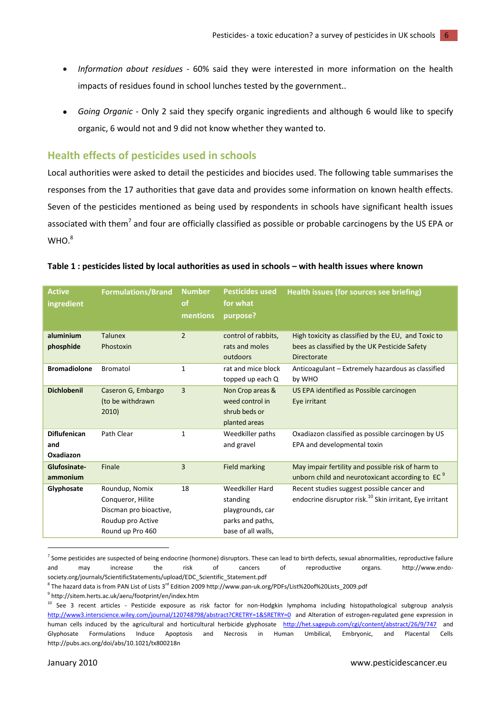- *Information about residues* 60% said they were interested in more information on the health  $\bullet$ impacts of residues found in school lunches tested by the government..
- *Going Organic* Only 2 said they specify organic ingredients and although 6 would like to specify organic, 6 would not and 9 did not know whether they wanted to.

#### <span id="page-5-0"></span>**Health effects of pesticides used in schools**

Local authorities were asked to detail the pesticides and biocides used. The following table summarises the responses from the 17 authorities that gave data and provides some information on known health effects. Seven of the pesticides mentioned as being used by respondents in schools have significant health issues associated with them<sup>7</sup> and four are officially classified as possible or probable carcinogens by the US EPA or WHO. 8

#### **Table 1 : pesticides listed by local authorities as used in schools – with health issues where known**

| <b>Active</b><br>ingredient             | <b>Formulations/Brand</b>                                                                              | <b>Number</b><br><b>of</b><br>mentions | <b>Pesticides used</b><br>for what<br>purpose?                                            | <b>Health issues (for sources see briefing)</b>                                                                            |
|-----------------------------------------|--------------------------------------------------------------------------------------------------------|----------------------------------------|-------------------------------------------------------------------------------------------|----------------------------------------------------------------------------------------------------------------------------|
| aluminium<br>phosphide                  | <b>Talunex</b><br>Phostoxin                                                                            | $\overline{2}$                         | control of rabbits,<br>rats and moles<br>outdoors                                         | High toxicity as classified by the EU, and Toxic to<br>bees as classified by the UK Pesticide Safety<br><b>Directorate</b> |
| <b>Bromadiolone</b>                     | <b>Bromatol</b>                                                                                        | $\mathbf{1}$                           | rat and mice block<br>topped up each Q                                                    | Anticoagulant - Extremely hazardous as classified<br>by WHO                                                                |
| <b>Dichlobenil</b>                      | Caseron G, Embargo<br>(to be withdrawn<br>2010)                                                        | $\overline{3}$                         | Non Crop areas &<br>weed control in<br>shrub beds or<br>planted areas                     | US EPA identified as Possible carcinogen<br>Eye irritant                                                                   |
| <b>Diflufenican</b><br>and<br>Oxadiazon | Path Clear                                                                                             | $\mathbf{1}$                           | Weedkiller paths<br>and gravel                                                            | Oxadiazon classified as possible carcinogen by US<br>EPA and developmental toxin                                           |
| Glufosinate-<br>ammonium                | Finale                                                                                                 | 3                                      | <b>Field marking</b>                                                                      | May impair fertility and possible risk of harm to<br>unborn child and neurotoxicant according to EC <sup>9</sup>           |
| Glyphosate                              | Roundup, Nomix<br>Conqueror, Hilite<br>Discman pro bioactive,<br>Roudup pro Active<br>Round up Pro 460 | 18                                     | Weedkiller Hard<br>standing<br>playgrounds, car<br>parks and paths,<br>base of all walls, | Recent studies suggest possible cancer and<br>endocrine disruptor risk. <sup>10</sup> Skin irritant, Eye irritant          |

<sup>&</sup>lt;sup>7</sup> Some pesticides are suspected of being endocrine (hormone) disruptors. These can lead to birth defects, sexual abnormalities, reproductive failure and may increase the risk of cancers of reproductive organs. http://www.endosociety.org/journals/ScientificStatements/upload/EDC\_Scientific\_Statement.pdf

 $\overline{\phantom{a}}$ 

<sup>&</sup>lt;sup>8</sup> The hazard data is from PAN List of Lists 3<sup>rd</sup> Edition 2009 http://www.pan-uk.org/PDFs/List%20of%20Lists\_2009.pdf

<sup>9</sup> http://sitem.herts.ac.uk/aeru/footprint/en/index.htm

<sup>&</sup>lt;sup>10</sup> See 3 recent articles - Pesticide exposure as risk factor for non-Hodgkin lymphoma including histopathological subgroup analysis <http://www3.interscience.wiley.com/journal/120748798/abstract?CRETRY=1&SRETRY=0>and Alteration of estrogen-regulated gene expression in human cells induced by the agricultural and horticultural herbicide glyphosate <http://het.sagepub.com/cgi/content/abstract/26/9/747>and Glyphosate Formulations Induce Apoptosis and Necrosis in Human Umbilical, Embryonic, and Placental Cells http://pubs.acs.org/doi/abs/10.1021/tx800218n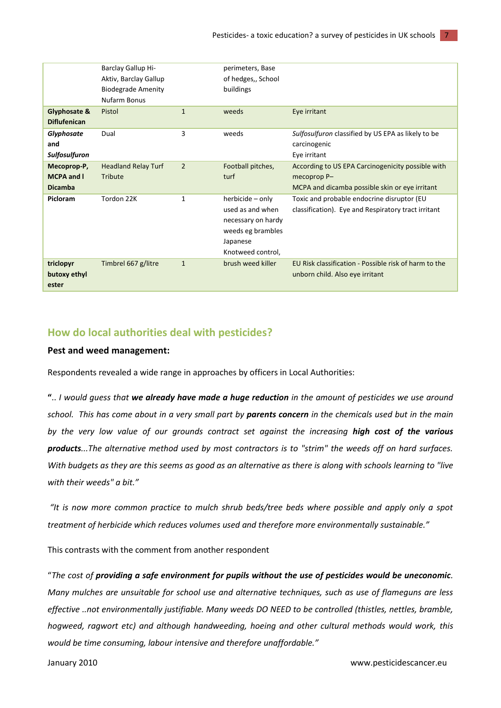|                      | Barclay Gallup Hi-         |                | perimeters, Base   |                                                       |
|----------------------|----------------------------|----------------|--------------------|-------------------------------------------------------|
|                      | Aktiv, Barclay Gallup      |                | of hedges,, School |                                                       |
|                      | <b>Biodegrade Amenity</b>  |                | buildings          |                                                       |
|                      | Nufarm Bonus               |                |                    |                                                       |
| Glyphosate &         | Pistol                     | $\mathbf{1}$   | weeds              | Eye irritant                                          |
| <b>Diflufenican</b>  |                            |                |                    |                                                       |
| Glyphosate           | Dual                       | 3              | weeds              | Sulfosulfuron classified by US EPA as likely to be    |
| and                  |                            |                |                    | carcinogenic                                          |
| <b>Sulfosulfuron</b> |                            |                |                    | Eye irritant                                          |
| Mecoprop-P,          | <b>Headland Relay Turf</b> | $\overline{2}$ | Football pitches,  | According to US EPA Carcinogenicity possible with     |
| <b>MCPA and I</b>    | Tribute                    |                | turf               | mecoprop P-                                           |
| <b>Dicamba</b>       |                            |                |                    | MCPA and dicamba possible skin or eye irritant        |
| Picloram             | Tordon 22K                 | 1              | herbicide - only   | Toxic and probable endocrine disruptor (EU            |
|                      |                            |                | used as and when   | classification). Eye and Respiratory tract irritant   |
|                      |                            |                | necessary on hardy |                                                       |
|                      |                            |                | weeds eg brambles  |                                                       |
|                      |                            |                | Japanese           |                                                       |
|                      |                            |                | Knotweed control,  |                                                       |
| triclopyr            | Timbrel 667 g/litre        | $\mathbf{1}$   | brush weed killer  | EU Risk classification - Possible risk of harm to the |
| butoxy ethyl         |                            |                |                    | unborn child. Also eye irritant                       |
| ester                |                            |                |                    |                                                       |
|                      |                            |                |                    |                                                       |

#### <span id="page-6-0"></span>**How do local authorities deal with pesticides?**

#### **Pest and weed management:**

Respondents revealed a wide range in approaches by officers in Local Authorities:

**"**.. *I would guess that we already have made a huge reduction in the amount of pesticides we use around school. This has come about in a very small part by parents concern in the chemicals used but in the main by the very low value of our grounds contract set against the increasing high cost of the various products...The alternative method used by most contractors is to "strim" the weeds off on hard surfaces. With budgets as they are this seems as good as an alternative as there is along with schools learning to "live with their weeds" a bit."*

*"It is now more common practice to mulch shrub beds/tree beds where possible and apply only a spot treatment of herbicide which reduces volumes used and therefore more environmentally sustainable."*

This contrasts with the comment from another respondent

"*The cost of providing a safe environment for pupils without the use of pesticides would be uneconomic. Many mulches are unsuitable for school use and alternative techniques, such as use of flameguns are less effective ..not environmentally justifiable. Many weeds DO NEED to be controlled (thistles, nettles, bramble, hogweed, ragwort etc) and although handweeding, hoeing and other cultural methods would work, this would be time consuming, labour intensive and therefore unaffordable."*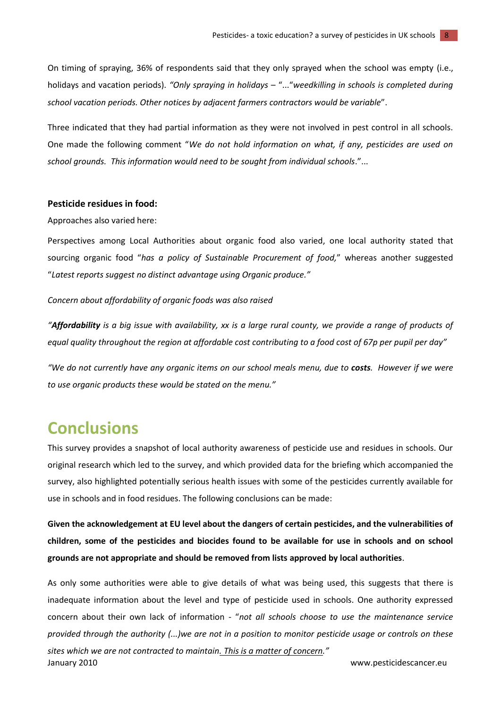On timing of spraying, 36% of respondents said that they only sprayed when the school was empty (i.e., holidays and vacation periods). *"Only spraying in holidays* – "..."*weedkilling in schools is completed during school vacation periods. Other notices by adjacent farmers contractors would be variable*".

Three indicated that they had partial information as they were not involved in pest control in all schools. One made the following comment "*We do not hold information on what, if any, pesticides are used on school grounds. This information would need to be sought from individual schools*."...

#### **Pesticide residues in food:**

Approaches also varied here:

Perspectives among Local Authorities about organic food also varied, one local authority stated that sourcing organic food "*has a policy of Sustainable Procurement of food,*" whereas another suggested "*Latest reports suggest no distinct advantage using Organic produce."* 

#### *Concern about affordability of organic foods was also raised*

*"Affordability is a big issue with availability, xx is a large rural county, we provide a range of products of equal quality throughout the region at affordable cost contributing to a food cost of 67p per pupil per day"*

*"We do not currently have any organic items on our school meals menu, due to costs. However if we were to use organic products these would be stated on the menu."*

### <span id="page-7-0"></span>**Conclusions**

This survey provides a snapshot of local authority awareness of pesticide use and residues in schools. Our original research which led to the survey, and which provided data for the briefing which accompanied the survey, also highlighted potentially serious health issues with some of the pesticides currently available for use in schools and in food residues. The following conclusions can be made:

**Given the acknowledgement at EU level about the dangers of certain pesticides, and the vulnerabilities of children, some of the pesticides and biocides found to be available for use in schools and on school grounds are not appropriate and should be removed from lists approved by local authorities**.

January 2010 www.pesticidescancer.eu As only some authorities were able to give details of what was being used, this suggests that there is inadequate information about the level and type of pesticide used in schools. One authority expressed concern about their own lack of information - "*not all schools choose to use the maintenance service provided through the authority (...)we are not in a position to monitor pesticide usage or controls on these sites which we are not contracted to maintain. This is a matter of concern."*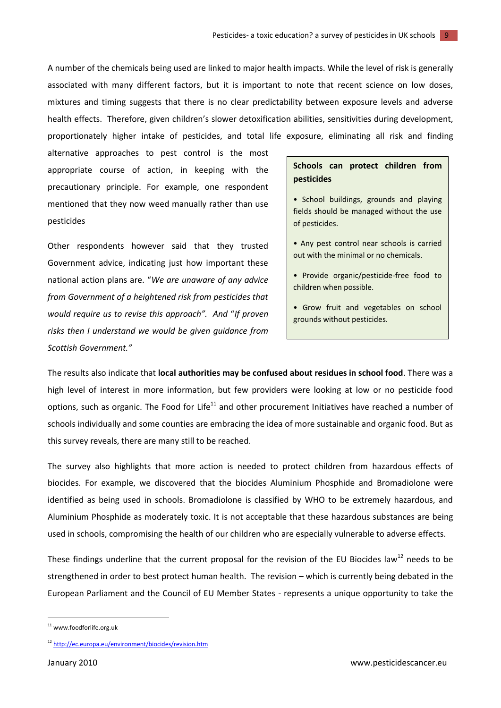A number of the chemicals being used are linked to major health impacts. While the level of risk is generally associated with many different factors, but it is important to note that recent science on low doses, mixtures and timing suggests that there is no clear predictability between exposure levels and adverse health effects. Therefore, given children's slower detoxification abilities, sensitivities during development, proportionately higher intake of pesticides, and total life exposure, eliminating all risk and finding

alternative approaches to pest control is the most appropriate course of action, in keeping with the precautionary principle. For example, one respondent mentioned that they now weed manually rather than use pesticides

Other respondents however said that they trusted Government advice, indicating just how important these national action plans are. "*We are unaware of any advice from Government of a heightened risk from pesticides that would require us to revise this approach". And* "*If proven risks then I understand we would be given guidance from Scottish Government."*

#### **Schools can protect children from pesticides**

- School buildings, grounds and playing fields should be managed without the use of pesticides.
- Any pest control near schools is carried out with the minimal or no chemicals.
- Provide organic/pesticide-free food to children when possible.
- Grow fruit and vegetables on school grounds without pesticides.

The results also indicate that **local authorities may be confused about residues in school food**. There was a high level of interest in more information, but few providers were looking at low or no pesticide food options, such as organic. The Food for Life $^{11}$  and other procurement Initiatives have reached a number of schools individually and some counties are embracing the idea of more sustainable and organic food. But as this survey reveals, there are many still to be reached.

The survey also highlights that more action is needed to protect children from hazardous effects of biocides. For example, we discovered that the biocides Aluminium Phosphide and Bromadiolone were identified as being used in schools. Bromadiolone is classified by WHO to be extremely hazardous, and Aluminium Phosphide as moderately toxic. It is not acceptable that these hazardous substances are being used in schools, compromising the health of our children who are especially vulnerable to adverse effects.

These findings underline that the current proposal for the revision of the EU Biocides law<sup>12</sup> needs to be strengthened in order to best protect human health. The revision – which is currently being debated in the European Parliament and the Council of EU Member States - represents a unique opportunity to take the

**.** 

<sup>11</sup> www.foodforlife.org.uk

<sup>12</sup> <http://ec.europa.eu/environment/biocides/revision.htm>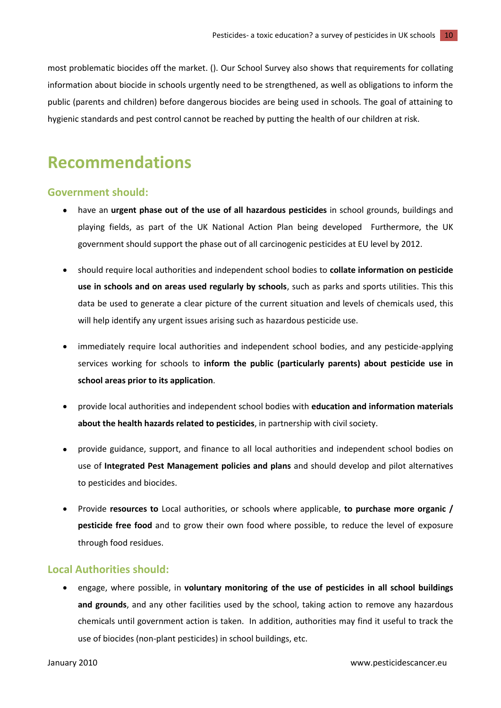most problematic biocides off the market. (). Our School Survey also shows that requirements for collating information about biocide in schools urgently need to be strengthened, as well as obligations to inform the public (parents and children) before dangerous biocides are being used in schools. The goal of attaining to hygienic standards and pest control cannot be reached by putting the health of our children at risk.

### <span id="page-9-0"></span>**Recommendations**

#### <span id="page-9-1"></span>**Government should:**

- have an **urgent phase out of the use of all hazardous pesticides** in school grounds, buildings and playing fields, as part of the UK National Action Plan being developed Furthermore, the UK government should support the phase out of all carcinogenic pesticides at EU level by 2012.
- should require local authorities and independent school bodies to **collate information on pesticide use in schools and on areas used regularly by schools**, such as parks and sports utilities. This this data be used to generate a clear picture of the current situation and levels of chemicals used, this will help identify any urgent issues arising such as hazardous pesticide use.
- immediately require local authorities and independent school bodies, and any pesticide-applying services working for schools to **inform the public (particularly parents) about pesticide use in school areas prior to its application**.
- provide local authorities and independent school bodies with **education and information materials about the health hazards related to pesticides**, in partnership with civil society.
- $\bullet$ provide guidance, support, and finance to all local authorities and independent school bodies on use of **Integrated Pest Management policies and plans** and should develop and pilot alternatives to pesticides and biocides.
- Provide **resources to** Local authorities, or schools where applicable, **to purchase more organic / pesticide free food** and to grow their own food where possible, to reduce the level of exposure through food residues.

#### <span id="page-9-2"></span>**Local Authorities should:**

engage, where possible, in **voluntary monitoring of the use of pesticides in all school buildings and grounds**, and any other facilities used by the school, taking action to remove any hazardous chemicals until government action is taken. In addition, authorities may find it useful to track the use of biocides (non-plant pesticides) in school buildings, etc.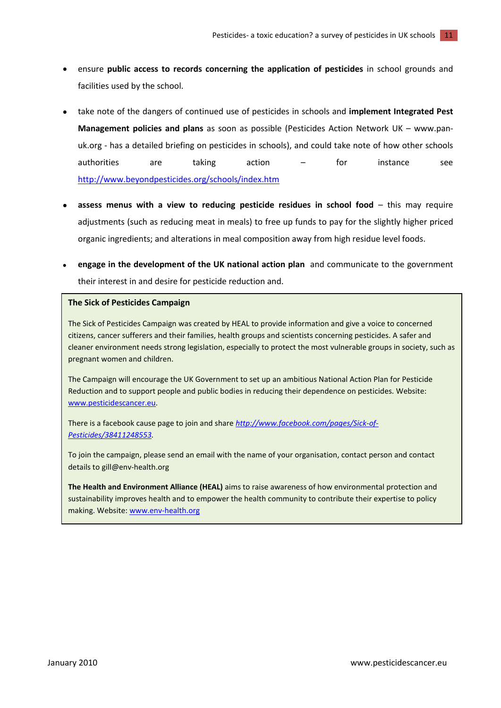- ensure **public access to records concerning the application of pesticides** in school grounds and facilities used by the school.
- take note of the dangers of continued use of pesticides in schools and **implement Integrated Pest Management policies and plans** as soon as possible (Pesticides Action Network UK – [www.pan](http://www.pan-uk.org/)[uk.org](http://www.pan-uk.org/) - has a detailed briefing on pesticides in schools), and could take note of how other schools authorities are taking action – for instance see <http://www.beyondpesticides.org/schools/index.htm>
- **assess menus with a view to reducing pesticide residues in school food** this may require adjustments (such as reducing meat in meals) to free up funds to pay for the slightly higher priced organic ingredients; and alterations in meal composition away from high residue level foods.
- **engage in the development of the UK national action plan** and communicate to the government their interest in and desire for pesticide reduction and.

#### **The Sick of Pesticides Campaign**

The Sick of Pesticides Campaign was created by HEAL to provide information and give a voice to concerned citizens, cancer sufferers and their families, health groups and scientists concerning pesticides. A safer and cleaner environment needs strong legislation, especially to protect the most vulnerable groups in society, such as pregnant women and children.

The Campaign will encourage the UK Government to set up an ambitious National Action Plan for Pesticide Reduction and to support people and public bodies in reducing their dependence on pesticides. Website: [www.pesticidescancer.eu.](http://www.pesticidescancer.eu/)

There is a facebook cause page to join and share *[http://www.facebook.com/pages/Sick-of-](http://www.facebook.com/pages/Sick-of-Pesticides/38411248553)[Pesticides/38411248553.](http://www.facebook.com/pages/Sick-of-Pesticides/38411248553)* 

To join the campaign, please send an email with the name of your organisation, contact person and contact details to gill@env-health.org

**The Health and Environment Alliance (HEAL)** aims to raise awareness of how environmental protection and sustainability improves health and to empower the health community to contribute their expertise to policy making. Website: [www.env-health.org](http://www.env-health.org/)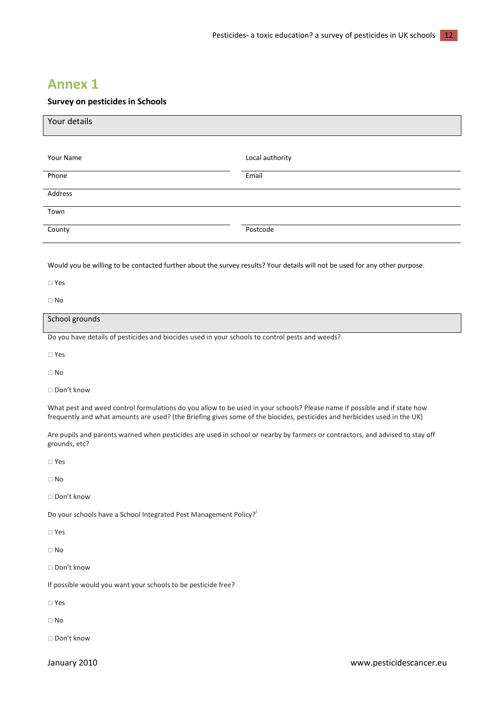### <span id="page-11-0"></span>**Annex 1**

#### **Survey on pesticides in Schools**

| Your details |                 |
|--------------|-----------------|
|              |                 |
| Your Name    | Local authority |
| Phone        | Email           |
| Address      |                 |
| Town         |                 |
| County       | Postcode        |

Would you be willing to be contacted further about the survey results? Your details will not be used for any other purpose.

Yes

 $\Box$  No

#### School grounds

Do you have details of pesticides and biocides used in your schools to control pests and weeds?

Yes

No

□ Don't know

What pest and weed control formulations do you allow to be used in your schools? Please name if possible and if state how frequently and what amounts are used? (the Briefing gives some of the biocides, pesticides and herbicides used in the UK)

Are pupils and parents warned when pesticides are used in school or nearby by farmers or contractors, and advised to stay off grounds, etc?

Yes

 $\Box$  No

□ Don't know

Do your schools have a School Integrated Pest Management Policy?<sup>i</sup>

 $\Box$  Yes

 $\Box$  No

Don't know

If possible would you want your schools to be pesticide free?

Yes

 $\Box$  No

□ Don't know